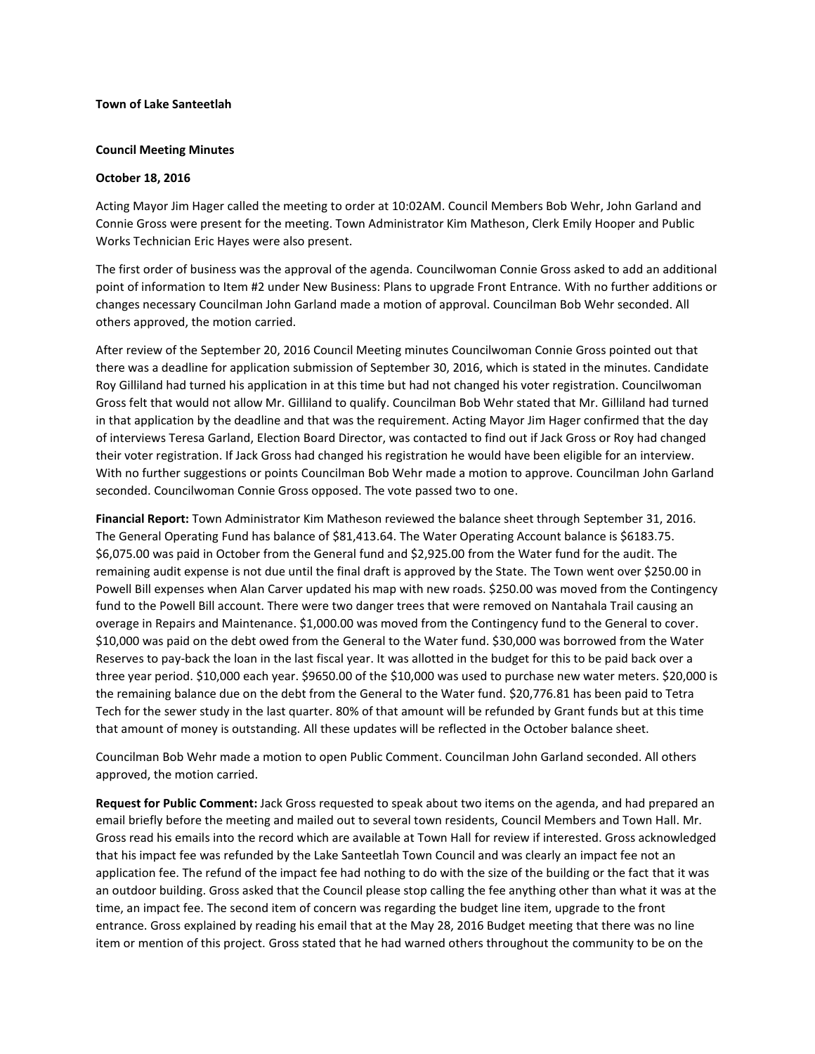## **Town of Lake Santeetlah**

#### **Council Meeting Minutes**

#### **October 18, 2016**

Acting Mayor Jim Hager called the meeting to order at 10:02AM. Council Members Bob Wehr, John Garland and Connie Gross were present for the meeting. Town Administrator Kim Matheson, Clerk Emily Hooper and Public Works Technician Eric Hayes were also present.

The first order of business was the approval of the agenda. Councilwoman Connie Gross asked to add an additional point of information to Item #2 under New Business: Plans to upgrade Front Entrance. With no further additions or changes necessary Councilman John Garland made a motion of approval. Councilman Bob Wehr seconded. All others approved, the motion carried.

After review of the September 20, 2016 Council Meeting minutes Councilwoman Connie Gross pointed out that there was a deadline for application submission of September 30, 2016, which is stated in the minutes. Candidate Roy Gilliland had turned his application in at this time but had not changed his voter registration. Councilwoman Gross felt that would not allow Mr. Gilliland to qualify. Councilman Bob Wehr stated that Mr. Gilliland had turned in that application by the deadline and that was the requirement. Acting Mayor Jim Hager confirmed that the day of interviews Teresa Garland, Election Board Director, was contacted to find out if Jack Gross or Roy had changed their voter registration. If Jack Gross had changed his registration he would have been eligible for an interview. With no further suggestions or points Councilman Bob Wehr made a motion to approve. Councilman John Garland seconded. Councilwoman Connie Gross opposed. The vote passed two to one.

**Financial Report:** Town Administrator Kim Matheson reviewed the balance sheet through September 31, 2016. The General Operating Fund has balance of \$81,413.64. The Water Operating Account balance is \$6183.75. \$6,075.00 was paid in October from the General fund and \$2,925.00 from the Water fund for the audit. The remaining audit expense is not due until the final draft is approved by the State. The Town went over \$250.00 in Powell Bill expenses when Alan Carver updated his map with new roads. \$250.00 was moved from the Contingency fund to the Powell Bill account. There were two danger trees that were removed on Nantahala Trail causing an overage in Repairs and Maintenance. \$1,000.00 was moved from the Contingency fund to the General to cover. \$10,000 was paid on the debt owed from the General to the Water fund. \$30,000 was borrowed from the Water Reserves to pay-back the loan in the last fiscal year. It was allotted in the budget for this to be paid back over a three year period. \$10,000 each year. \$9650.00 of the \$10,000 was used to purchase new water meters. \$20,000 is the remaining balance due on the debt from the General to the Water fund. \$20,776.81 has been paid to Tetra Tech for the sewer study in the last quarter. 80% of that amount will be refunded by Grant funds but at this time that amount of money is outstanding. All these updates will be reflected in the October balance sheet.

Councilman Bob Wehr made a motion to open Public Comment. Councilman John Garland seconded. All others approved, the motion carried.

**Request for Public Comment:** Jack Gross requested to speak about two items on the agenda, and had prepared an email briefly before the meeting and mailed out to several town residents, Council Members and Town Hall. Mr. Gross read his emails into the record which are available at Town Hall for review if interested. Gross acknowledged that his impact fee was refunded by the Lake Santeetlah Town Council and was clearly an impact fee not an application fee. The refund of the impact fee had nothing to do with the size of the building or the fact that it was an outdoor building. Gross asked that the Council please stop calling the fee anything other than what it was at the time, an impact fee. The second item of concern was regarding the budget line item, upgrade to the front entrance. Gross explained by reading his email that at the May 28, 2016 Budget meeting that there was no line item or mention of this project. Gross stated that he had warned others throughout the community to be on the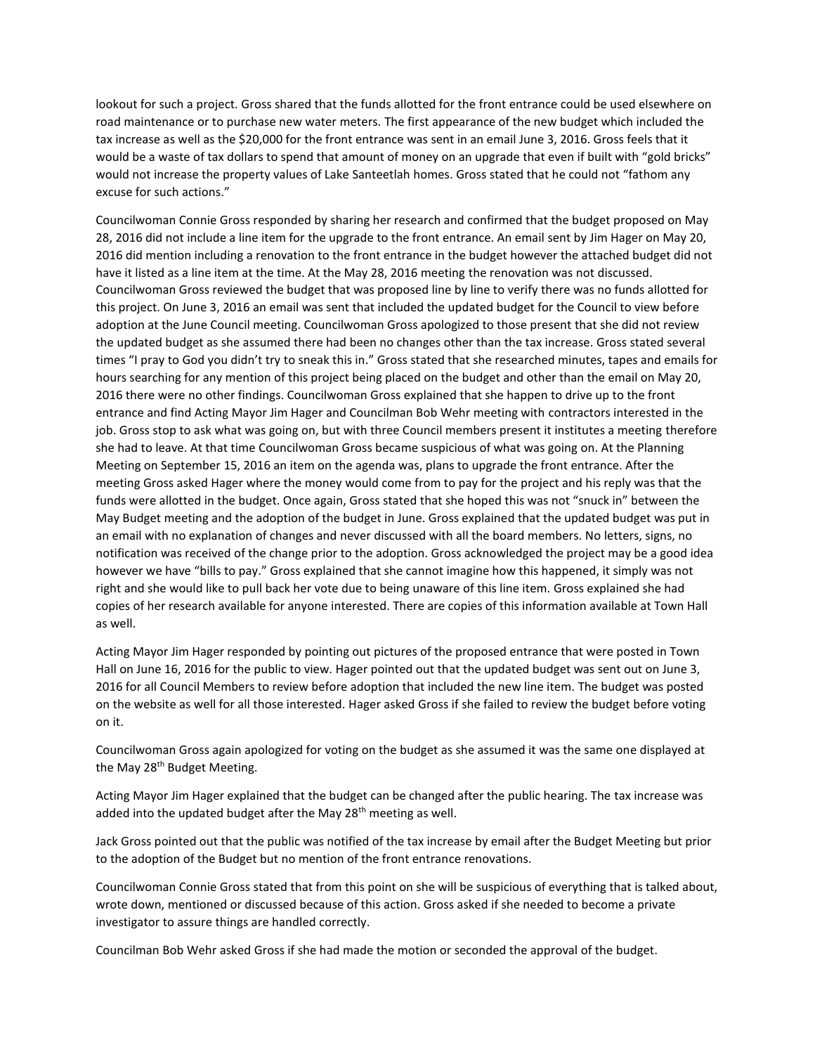lookout for such a project. Gross shared that the funds allotted for the front entrance could be used elsewhere on road maintenance or to purchase new water meters. The first appearance of the new budget which included the tax increase as well as the \$20,000 for the front entrance was sent in an email June 3, 2016. Gross feels that it would be a waste of tax dollars to spend that amount of money on an upgrade that even if built with "gold bricks" would not increase the property values of Lake Santeetlah homes. Gross stated that he could not "fathom any excuse for such actions."

Councilwoman Connie Gross responded by sharing her research and confirmed that the budget proposed on May 28, 2016 did not include a line item for the upgrade to the front entrance. An email sent by Jim Hager on May 20, 2016 did mention including a renovation to the front entrance in the budget however the attached budget did not have it listed as a line item at the time. At the May 28, 2016 meeting the renovation was not discussed. Councilwoman Gross reviewed the budget that was proposed line by line to verify there was no funds allotted for this project. On June 3, 2016 an email was sent that included the updated budget for the Council to view before adoption at the June Council meeting. Councilwoman Gross apologized to those present that she did not review the updated budget as she assumed there had been no changes other than the tax increase. Gross stated several times "I pray to God you didn't try to sneak this in." Gross stated that she researched minutes, tapes and emails for hours searching for any mention of this project being placed on the budget and other than the email on May 20, 2016 there were no other findings. Councilwoman Gross explained that she happen to drive up to the front entrance and find Acting Mayor Jim Hager and Councilman Bob Wehr meeting with contractors interested in the job. Gross stop to ask what was going on, but with three Council members present it institutes a meeting therefore she had to leave. At that time Councilwoman Gross became suspicious of what was going on. At the Planning Meeting on September 15, 2016 an item on the agenda was, plans to upgrade the front entrance. After the meeting Gross asked Hager where the money would come from to pay for the project and his reply was that the funds were allotted in the budget. Once again, Gross stated that she hoped this was not "snuck in" between the May Budget meeting and the adoption of the budget in June. Gross explained that the updated budget was put in an email with no explanation of changes and never discussed with all the board members. No letters, signs, no notification was received of the change prior to the adoption. Gross acknowledged the project may be a good idea however we have "bills to pay." Gross explained that she cannot imagine how this happened, it simply was not right and she would like to pull back her vote due to being unaware of this line item. Gross explained she had copies of her research available for anyone interested. There are copies of this information available at Town Hall as well.

Acting Mayor Jim Hager responded by pointing out pictures of the proposed entrance that were posted in Town Hall on June 16, 2016 for the public to view. Hager pointed out that the updated budget was sent out on June 3, 2016 for all Council Members to review before adoption that included the new line item. The budget was posted on the website as well for all those interested. Hager asked Gross if she failed to review the budget before voting on it.

Councilwoman Gross again apologized for voting on the budget as she assumed it was the same one displayed at the May 28<sup>th</sup> Budget Meeting.

Acting Mayor Jim Hager explained that the budget can be changed after the public hearing. The tax increase was added into the updated budget after the May 28<sup>th</sup> meeting as well.

Jack Gross pointed out that the public was notified of the tax increase by email after the Budget Meeting but prior to the adoption of the Budget but no mention of the front entrance renovations.

Councilwoman Connie Gross stated that from this point on she will be suspicious of everything that is talked about, wrote down, mentioned or discussed because of this action. Gross asked if she needed to become a private investigator to assure things are handled correctly.

Councilman Bob Wehr asked Gross if she had made the motion or seconded the approval of the budget.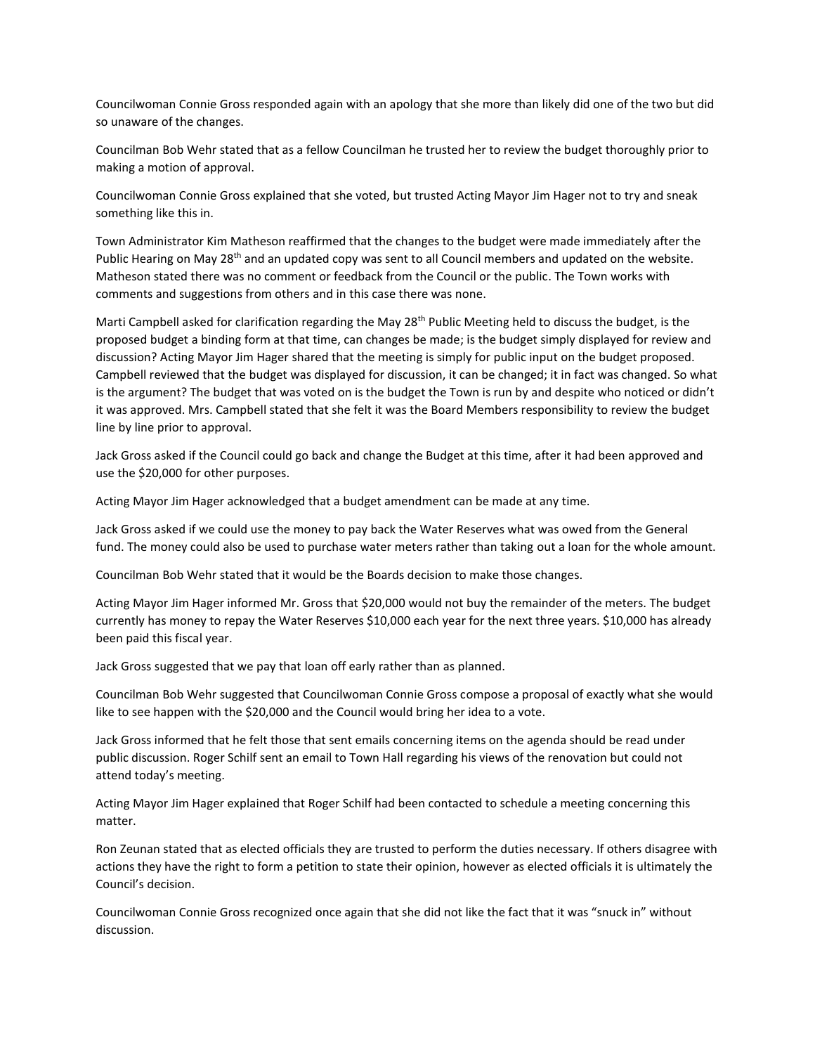Councilwoman Connie Gross responded again with an apology that she more than likely did one of the two but did so unaware of the changes.

Councilman Bob Wehr stated that as a fellow Councilman he trusted her to review the budget thoroughly prior to making a motion of approval.

Councilwoman Connie Gross explained that she voted, but trusted Acting Mayor Jim Hager not to try and sneak something like this in.

Town Administrator Kim Matheson reaffirmed that the changes to the budget were made immediately after the Public Hearing on May 28<sup>th</sup> and an updated copy was sent to all Council members and updated on the website. Matheson stated there was no comment or feedback from the Council or the public. The Town works with comments and suggestions from others and in this case there was none.

Marti Campbell asked for clarification regarding the May 28<sup>th</sup> Public Meeting held to discuss the budget, is the proposed budget a binding form at that time, can changes be made; is the budget simply displayed for review and discussion? Acting Mayor Jim Hager shared that the meeting is simply for public input on the budget proposed. Campbell reviewed that the budget was displayed for discussion, it can be changed; it in fact was changed. So what is the argument? The budget that was voted on is the budget the Town is run by and despite who noticed or didn't it was approved. Mrs. Campbell stated that she felt it was the Board Members responsibility to review the budget line by line prior to approval.

Jack Gross asked if the Council could go back and change the Budget at this time, after it had been approved and use the \$20,000 for other purposes.

Acting Mayor Jim Hager acknowledged that a budget amendment can be made at any time.

Jack Gross asked if we could use the money to pay back the Water Reserves what was owed from the General fund. The money could also be used to purchase water meters rather than taking out a loan for the whole amount.

Councilman Bob Wehr stated that it would be the Boards decision to make those changes.

Acting Mayor Jim Hager informed Mr. Gross that \$20,000 would not buy the remainder of the meters. The budget currently has money to repay the Water Reserves \$10,000 each year for the next three years. \$10,000 has already been paid this fiscal year.

Jack Gross suggested that we pay that loan off early rather than as planned.

Councilman Bob Wehr suggested that Councilwoman Connie Gross compose a proposal of exactly what she would like to see happen with the \$20,000 and the Council would bring her idea to a vote.

Jack Gross informed that he felt those that sent emails concerning items on the agenda should be read under public discussion. Roger Schilf sent an email to Town Hall regarding his views of the renovation but could not attend today's meeting.

Acting Mayor Jim Hager explained that Roger Schilf had been contacted to schedule a meeting concerning this matter.

Ron Zeunan stated that as elected officials they are trusted to perform the duties necessary. If others disagree with actions they have the right to form a petition to state their opinion, however as elected officials it is ultimately the Council's decision.

Councilwoman Connie Gross recognized once again that she did not like the fact that it was "snuck in" without discussion.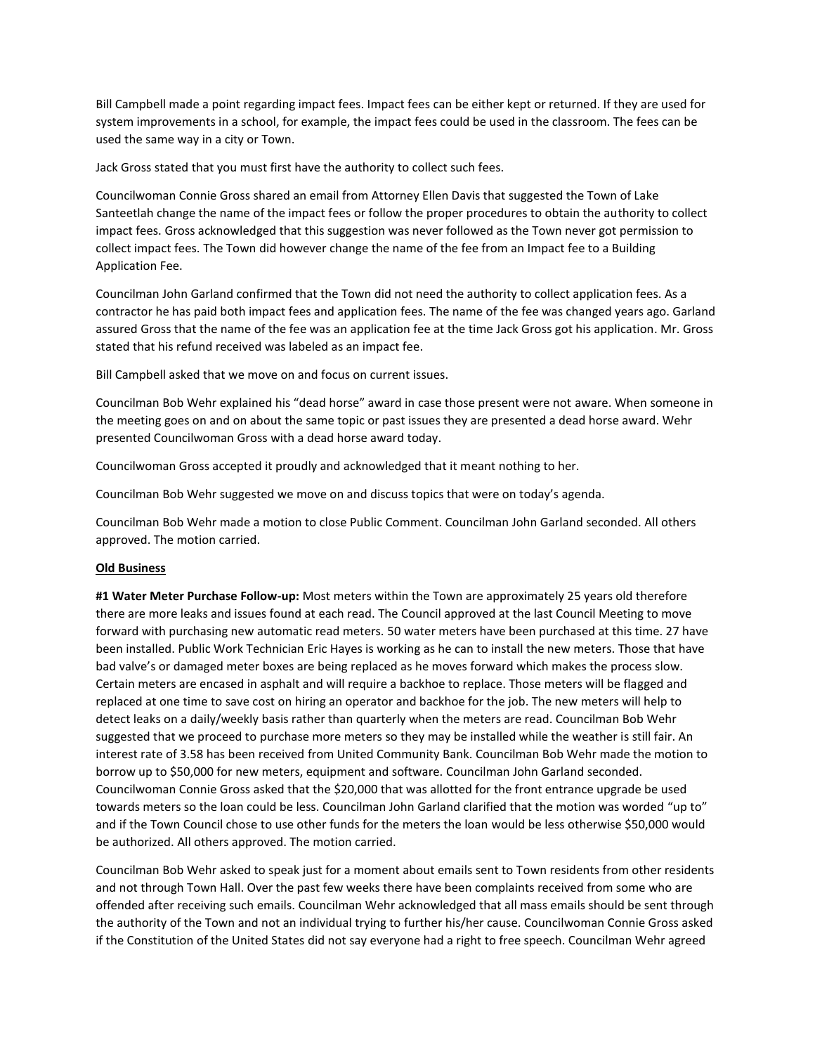Bill Campbell made a point regarding impact fees. Impact fees can be either kept or returned. If they are used for system improvements in a school, for example, the impact fees could be used in the classroom. The fees can be used the same way in a city or Town.

Jack Gross stated that you must first have the authority to collect such fees.

Councilwoman Connie Gross shared an email from Attorney Ellen Davis that suggested the Town of Lake Santeetlah change the name of the impact fees or follow the proper procedures to obtain the authority to collect impact fees. Gross acknowledged that this suggestion was never followed as the Town never got permission to collect impact fees. The Town did however change the name of the fee from an Impact fee to a Building Application Fee.

Councilman John Garland confirmed that the Town did not need the authority to collect application fees. As a contractor he has paid both impact fees and application fees. The name of the fee was changed years ago. Garland assured Gross that the name of the fee was an application fee at the time Jack Gross got his application. Mr. Gross stated that his refund received was labeled as an impact fee.

Bill Campbell asked that we move on and focus on current issues.

Councilman Bob Wehr explained his "dead horse" award in case those present were not aware. When someone in the meeting goes on and on about the same topic or past issues they are presented a dead horse award. Wehr presented Councilwoman Gross with a dead horse award today.

Councilwoman Gross accepted it proudly and acknowledged that it meant nothing to her.

Councilman Bob Wehr suggested we move on and discuss topics that were on today's agenda.

Councilman Bob Wehr made a motion to close Public Comment. Councilman John Garland seconded. All others approved. The motion carried.

# **Old Business**

**#1 Water Meter Purchase Follow-up:** Most meters within the Town are approximately 25 years old therefore there are more leaks and issues found at each read. The Council approved at the last Council Meeting to move forward with purchasing new automatic read meters. 50 water meters have been purchased at this time. 27 have been installed. Public Work Technician Eric Hayes is working as he can to install the new meters. Those that have bad valve's or damaged meter boxes are being replaced as he moves forward which makes the process slow. Certain meters are encased in asphalt and will require a backhoe to replace. Those meters will be flagged and replaced at one time to save cost on hiring an operator and backhoe for the job. The new meters will help to detect leaks on a daily/weekly basis rather than quarterly when the meters are read. Councilman Bob Wehr suggested that we proceed to purchase more meters so they may be installed while the weather is still fair. An interest rate of 3.58 has been received from United Community Bank. Councilman Bob Wehr made the motion to borrow up to \$50,000 for new meters, equipment and software. Councilman John Garland seconded. Councilwoman Connie Gross asked that the \$20,000 that was allotted for the front entrance upgrade be used towards meters so the loan could be less. Councilman John Garland clarified that the motion was worded "up to" and if the Town Council chose to use other funds for the meters the loan would be less otherwise \$50,000 would be authorized. All others approved. The motion carried.

Councilman Bob Wehr asked to speak just for a moment about emails sent to Town residents from other residents and not through Town Hall. Over the past few weeks there have been complaints received from some who are offended after receiving such emails. Councilman Wehr acknowledged that all mass emails should be sent through the authority of the Town and not an individual trying to further his/her cause. Councilwoman Connie Gross asked if the Constitution of the United States did not say everyone had a right to free speech. Councilman Wehr agreed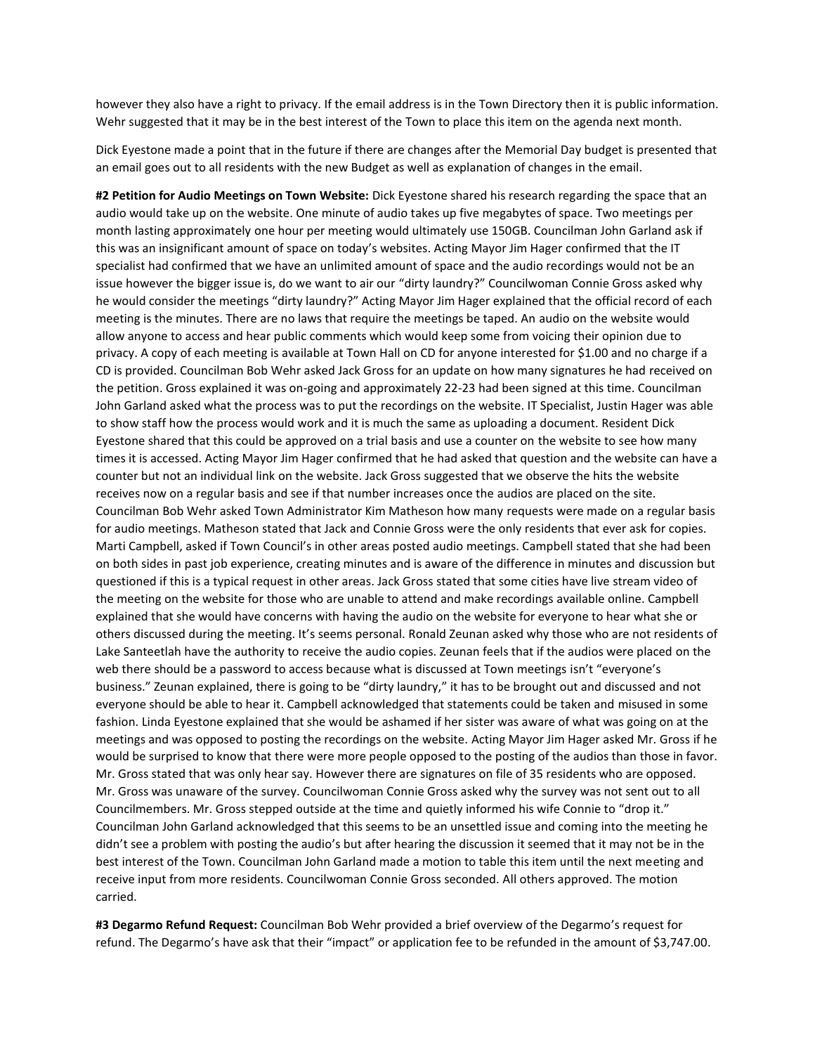however they also have a right to privacy. If the email address is in the Town Directory then it is public information. Wehr suggested that it may be in the best interest of the Town to place this item on the agenda next month.

Dick Eyestone made a point that in the future if there are changes after the Memorial Day budget is presented that an email goes out to all residents with the new Budget as well as explanation of changes in the email.

**#2 Petition for Audio Meetings on Town Website:** Dick Eyestone shared his research regarding the space that an audio would take up on the website. One minute of audio takes up five megabytes of space. Two meetings per month lasting approximately one hour per meeting would ultimately use 150GB. Councilman John Garland ask if this was an insignificant amount of space on today's websites. Acting Mayor Jim Hager confirmed that the IT specialist had confirmed that we have an unlimited amount of space and the audio recordings would not be an issue however the bigger issue is, do we want to air our "dirty laundry?" Councilwoman Connie Gross asked why he would consider the meetings "dirty laundry?" Acting Mayor Jim Hager explained that the official record of each meeting is the minutes. There are no laws that require the meetings be taped. An audio on the website would allow anyone to access and hear public comments which would keep some from voicing their opinion due to privacy. A copy of each meeting is available at Town Hall on CD for anyone interested for \$1.00 and no charge if a CD is provided. Councilman Bob Wehr asked Jack Gross for an update on how many signatures he had received on the petition. Gross explained it was on-going and approximately 22-23 had been signed at this time. Councilman John Garland asked what the process was to put the recordings on the website. IT Specialist, Justin Hager was able to show staff how the process would work and it is much the same as uploading a document. Resident Dick Eyestone shared that this could be approved on a trial basis and use a counter on the website to see how many times it is accessed. Acting Mayor Jim Hager confirmed that he had asked that question and the website can have a counter but not an individual link on the website. Jack Gross suggested that we observe the hits the website receives now on a regular basis and see if that number increases once the audios are placed on the site. Councilman Bob Wehr asked Town Administrator Kim Matheson how many requests were made on a regular basis for audio meetings. Matheson stated that Jack and Connie Gross were the only residents that ever ask for copies. Marti Campbell, asked if Town Council's in other areas posted audio meetings. Campbell stated that she had been on both sides in past job experience, creating minutes and is aware of the difference in minutes and discussion but questioned if this is a typical request in other areas. Jack Gross stated that some cities have live stream video of the meeting on the website for those who are unable to attend and make recordings available online. Campbell explained that she would have concerns with having the audio on the website for everyone to hear what she or others discussed during the meeting. It's seems personal. Ronald Zeunan asked why those who are not residents of Lake Santeetlah have the authority to receive the audio copies. Zeunan feels that if the audios were placed on the web there should be a password to access because what is discussed at Town meetings isn't "everyone's business." Zeunan explained, there is going to be "dirty laundry," it has to be brought out and discussed and not everyone should be able to hear it. Campbell acknowledged that statements could be taken and misused in some fashion. Linda Eyestone explained that she would be ashamed if her sister was aware of what was going on at the meetings and was opposed to posting the recordings on the website. Acting Mayor Jim Hager asked Mr. Gross if he would be surprised to know that there were more people opposed to the posting of the audios than those in favor. Mr. Gross stated that was only hear say. However there are signatures on file of 35 residents who are opposed. Mr. Gross was unaware of the survey. Councilwoman Connie Gross asked why the survey was not sent out to all Councilmembers. Mr. Gross stepped outside at the time and quietly informed his wife Connie to "drop it." Councilman John Garland acknowledged that this seems to be an unsettled issue and coming into the meeting he didn't see a problem with posting the audio's but after hearing the discussion it seemed that it may not be in the best interest of the Town. Councilman John Garland made a motion to table this item until the next meeting and receive input from more residents. Councilwoman Connie Gross seconded. All others approved. The motion carried.

**#3 Degarmo Refund Request:** Councilman Bob Wehr provided a brief overview of the Degarmo's request for refund. The Degarmo's have ask that their "impact" or application fee to be refunded in the amount of \$3,747.00.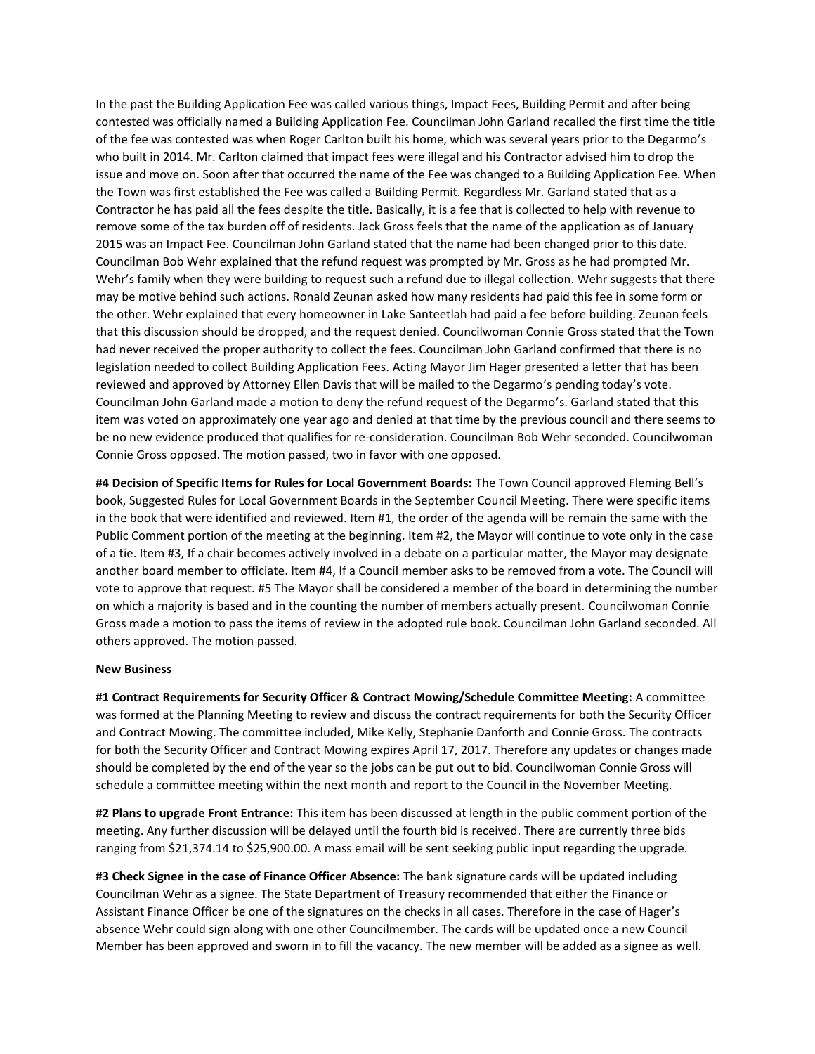In the past the Building Application Fee was called various things, Impact Fees, Building Permit and after being contested was officially named a Building Application Fee. Councilman John Garland recalled the first time the title of the fee was contested was when Roger Carlton built his home, which was several years prior to the Degarmo's who built in 2014. Mr. Carlton claimed that impact fees were illegal and his Contractor advised him to drop the issue and move on. Soon after that occurred the name of the Fee was changed to a Building Application Fee. When the Town was first established the Fee was called a Building Permit. Regardless Mr. Garland stated that as a Contractor he has paid all the fees despite the title. Basically, it is a fee that is collected to help with revenue to remove some of the tax burden off of residents. Jack Gross feels that the name of the application as of January 2015 was an Impact Fee. Councilman John Garland stated that the name had been changed prior to this date. Councilman Bob Wehr explained that the refund request was prompted by Mr. Gross as he had prompted Mr. Wehr's family when they were building to request such a refund due to illegal collection. Wehr suggests that there may be motive behind such actions. Ronald Zeunan asked how many residents had paid this fee in some form or the other. Wehr explained that every homeowner in Lake Santeetlah had paid a fee before building. Zeunan feels that this discussion should be dropped, and the request denied. Councilwoman Connie Gross stated that the Town had never received the proper authority to collect the fees. Councilman John Garland confirmed that there is no legislation needed to collect Building Application Fees. Acting Mayor Jim Hager presented a letter that has been reviewed and approved by Attorney Ellen Davis that will be mailed to the Degarmo's pending today's vote. Councilman John Garland made a motion to deny the refund request of the Degarmo's. Garland stated that this item was voted on approximately one year ago and denied at that time by the previous council and there seems to be no new evidence produced that qualifies for re-consideration. Councilman Bob Wehr seconded. Councilwoman Connie Gross opposed. The motion passed, two in favor with one opposed.

**#4 Decision of Specific Items for Rules for Local Government Boards:** The Town Council approved Fleming Bell's book, Suggested Rules for Local Government Boards in the September Council Meeting. There were specific items in the book that were identified and reviewed. Item #1, the order of the agenda will be remain the same with the Public Comment portion of the meeting at the beginning. Item #2, the Mayor will continue to vote only in the case of a tie. Item #3, If a chair becomes actively involved in a debate on a particular matter, the Mayor may designate another board member to officiate. Item #4, If a Council member asks to be removed from a vote. The Council will vote to approve that request. #5 The Mayor shall be considered a member of the board in determining the number on which a majority is based and in the counting the number of members actually present. Councilwoman Connie Gross made a motion to pass the items of review in the adopted rule book. Councilman John Garland seconded. All others approved. The motion passed.

## **New Business**

**#1 Contract Requirements for Security Officer & Contract Mowing/Schedule Committee Meeting:** A committee was formed at the Planning Meeting to review and discuss the contract requirements for both the Security Officer and Contract Mowing. The committee included, Mike Kelly, Stephanie Danforth and Connie Gross. The contracts for both the Security Officer and Contract Mowing expires April 17, 2017. Therefore any updates or changes made should be completed by the end of the year so the jobs can be put out to bid. Councilwoman Connie Gross will schedule a committee meeting within the next month and report to the Council in the November Meeting.

**#2 Plans to upgrade Front Entrance:** This item has been discussed at length in the public comment portion of the meeting. Any further discussion will be delayed until the fourth bid is received. There are currently three bids ranging from \$21,374.14 to \$25,900.00. A mass email will be sent seeking public input regarding the upgrade.

**#3 Check Signee in the case of Finance Officer Absence:** The bank signature cards will be updated including Councilman Wehr as a signee. The State Department of Treasury recommended that either the Finance or Assistant Finance Officer be one of the signatures on the checks in all cases. Therefore in the case of Hager's absence Wehr could sign along with one other Councilmember. The cards will be updated once a new Council Member has been approved and sworn in to fill the vacancy. The new member will be added as a signee as well.